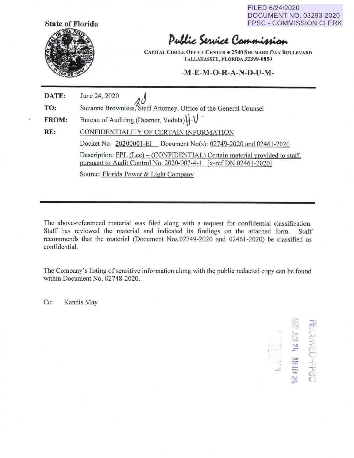FILED 6/24/2020 DOCUMENT NO. 03293-2020 FPSC - COMMISSION CLERK



## Public Service Commission

**CAPITAL CIRCLE OFFICE CENTER** • **2540 SHUMARD OAK BOULEVARD TALLAHASSEE, FLORIDA 32399-0850** 

**-M-E-M-O-R-A-N-D-U-M-**

| DATE:        | June 24, 2020                                                                                                                                    |  |  |
|--------------|--------------------------------------------------------------------------------------------------------------------------------------------------|--|--|
| TO:          | Suzanne Brownless, Staff Attorney, Office of the General Counsel                                                                                 |  |  |
| <b>FROM:</b> | Bureau of Auditing (Deamer, Vedula)   V                                                                                                          |  |  |
| RE:          | CONFIDENTIALITY OF CERTAIN INFORMATION                                                                                                           |  |  |
|              | Docket No: 20200001-EI Document No(s): 02749-2020 and 02461-2020                                                                                 |  |  |
|              | Description: FPL (Lee) – (CONFIDENTIAL) Certain material provided to staff,<br>pursuant to Audit Control No. 2020-007-4-1. [x-ref DN 02461-2020] |  |  |
|              | Source: Florida Power & Light Company                                                                                                            |  |  |

The above-referenced material was filed along with a request for confidential classification. Staff has reviewed the material and indicated its findings on the attached form. Staff recommends that the material (Document Nos.02749-2020 and 02461-2020) be classified as confidential.

The Company's listing of sensitive information along with the public redacted copy can be found within Document No. 02748-2020.

Cc: Kandis May

 $\mathbb{S}$  $\sum_{i=1}^{N}$ • *r-* ,- ,\_ r•·  $\frac{1}{2}$ C **l=-** i ::r -l ,  $\vec{z}$   $\equiv$   $\frac{11}{10}$ **<sup>N</sup>***C* +